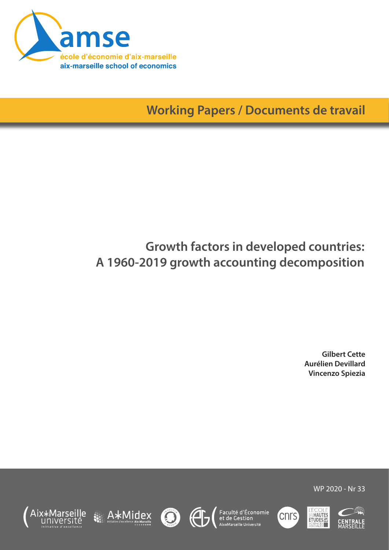

A\*Midex

Aix>

lle

<u>IINIVArsité</u>

**Working Papers / Documents de travail**

# **Growth factors in developed countries: A 1960-2019 growth accounting decomposition**

**Gilbert Cette Aurélien Devillard Vincenzo Spiezia**

WP 2020 - Nr 33











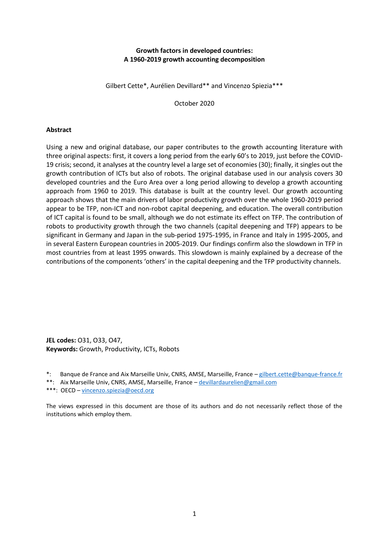#### **Growth factors in developed countries: A 1960-2019 growth accounting decomposition**

Gilbert Cette\*, Aurélien Devillard\*\* and Vincenzo Spiezia\*\*\*

October 2020

#### **Abstract**

Using a new and original database, our paper contributes to the growth accounting literature with three original aspects: first, it covers a long period from the early 60's to 2019, just before the COVID-19 crisis; second, it analyses at the country level a large set of economies (30); finally, it singles out the growth contribution of ICTs but also of robots. The original database used in our analysis covers 30 developed countries and the Euro Area over a long period allowing to develop a growth accounting approach from 1960 to 2019. This database is built at the country level. Our growth accounting approach shows that the main drivers of labor productivity growth over the whole 1960-2019 period appear to be TFP, non-ICT and non-robot capital deepening, and education. The overall contribution of ICT capital is found to be small, although we do not estimate its effect on TFP. The contribution of robots to productivity growth through the two channels (capital deepening and TFP) appears to be significant in Germany and Japan in the sub-period 1975-1995, in France and Italy in 1995-2005, and in several Eastern European countries in 2005-2019. Our findings confirm also the slowdown in TFP in most countries from at least 1995 onwards. This slowdown is mainly explained by a decrease of the contributions of the components 'others' in the capital deepening and the TFP productivity channels.

**JEL codes:** O31, O33, O47, **Keywords:** Growth, Productivity, ICTs, Robots

- \*: Banque de France and Aix Marseille Univ, CNRS, AMSE, Marseille, France [gilbert.cette@banque-france.fr](mailto:gilbert.cette@banque-france.fr)
- \*\*: Aix Marseille Univ, CNRS, AMSE, Marseille, France [devillardaurelien@gmail.com](mailto:devillardaurelien@gmail.com)
- \*\*\*: OECD [vincenzo.spiezia@oecd.org](mailto:vincenzo.spiezia@oecd.org)

The views expressed in this document are those of its authors and do not necessarily reflect those of the institutions which employ them.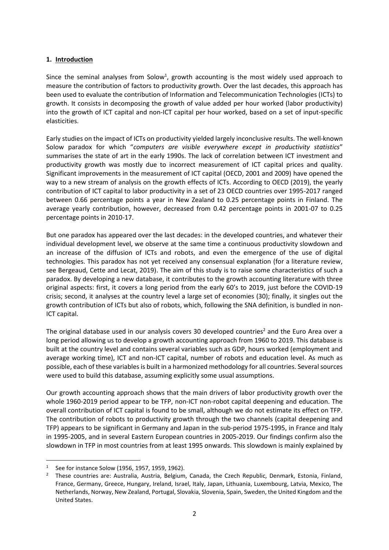## **1. Introduction**

Since the seminal analyses from Solow<sup>1</sup>, growth accounting is the most widely used approach to measure the contribution of factors to productivity growth. Over the last decades, this approach has been used to evaluate the contribution of Information and Telecommunication Technologies (ICTs) to growth. It consists in decomposing the growth of value added per hour worked (labor productivity) into the growth of ICT capital and non-ICT capital per hour worked, based on a set of input-specific elasticities.

Early studies on the impact of ICTs on productivity yielded largely inconclusive results. The well-known Solow paradox for which "*computers are visible everywhere except in productivity statistics*" summarises the state of art in the early 1990s. The lack of correlation between ICT investment and productivity growth was mostly due to incorrect measurement of ICT capital prices and quality. Significant improvements in the measurement of ICT capital (OECD, 2001 and 2009) have opened the way to a new stream of analysis on the growth effects of ICTs. According to OECD (2019), the yearly contribution of ICT capital to labor productivity in a set of 23 OECD countries over 1995-2017 ranged between 0.66 percentage points a year in New Zealand to 0.25 percentage points in Finland. The average yearly contribution, however, decreased from 0.42 percentage points in 2001-07 to 0.25 percentage points in 2010-17.

But one paradox has appeared over the last decades: in the developed countries, and whatever their individual development level, we observe at the same time a continuous productivity slowdown and an increase of the diffusion of ICTs and robots, and even the emergence of the use of digital technologies. This paradox has not yet received any consensual explanation (for a literature review, see Bergeaud, Cette and Lecat, 2019). The aim of this study is to raise some characteristics of such a paradox. By developing a new database, it contributes to the growth accounting literature with three original aspects: first, it covers a long period from the early 60's to 2019, just before the COVID-19 crisis; second, it analyses at the country level a large set of economies (30); finally, it singles out the growth contribution of ICTs but also of robots, which, following the SNA definition, is bundled in non-ICT capital.

The original database used in our analysis covers 30 developed countries<sup>2</sup> and the Euro Area over a long period allowing us to develop a growth accounting approach from 1960 to 2019. This database is built at the country level and contains several variables such as GDP, hours worked (employment and average working time), ICT and non-ICT capital, number of robots and education level. As much as possible, each of these variables is built in a harmonized methodology for all countries. Several sources were used to build this database, assuming explicitly some usual assumptions.

Our growth accounting approach shows that the main drivers of labor productivity growth over the whole 1960-2019 period appear to be TFP, non-ICT non-robot capital deepening and education. The overall contribution of ICT capital is found to be small, although we do not estimate its effect on TFP. The contribution of robots to productivity growth through the two channels (capital deepening and TFP) appears to be significant in Germany and Japan in the sub-period 1975-1995, in France and Italy in 1995-2005, and in several Eastern European countries in 2005-2019. Our findings confirm also the slowdown in TFP in most countries from at least 1995 onwards. This slowdown is mainly explained by

<sup>1</sup> See for instance Solow (1956, 1957, 1959, 1962).

<sup>&</sup>lt;sup>2</sup> These countries are: Australia, Austria, Belgium, Canada, the Czech Republic, Denmark, Estonia, Finland, France, Germany, Greece, Hungary, Ireland, Israel, Italy, Japan, Lithuania, Luxembourg, Latvia, Mexico, The Netherlands, Norway, New Zealand, Portugal, Slovakia, Slovenia, Spain, Sweden, the United Kingdom and the United States.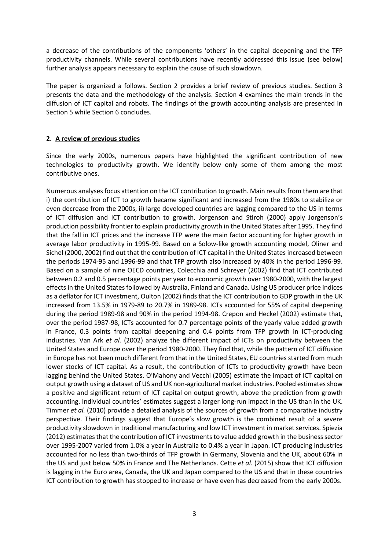a decrease of the contributions of the components 'others' in the capital deepening and the TFP productivity channels. While several contributions have recently addressed this issue (see below) further analysis appears necessary to explain the cause of such slowdown.

The paper is organized a follows. Section 2 provides a brief review of previous studies. Section 3 presents the data and the methodology of the analysis. Section 4 examines the main trends in the diffusion of ICT capital and robots. The findings of the growth accounting analysis are presented in Section 5 while Section 6 concludes.

# **2. A review of previous studies**

Since the early 2000s, numerous papers have highlighted the significant contribution of new technologies to productivity growth. We identify below only some of them among the most contributive ones.

Numerous analyses focus attention on the ICT contribution to growth. Main results from them are that i) the contribution of ICT to growth became significant and increased from the 1980s to stabilize or even decrease from the 2000s, ii) large developed countries are lagging compared to the US in terms of ICT diffusion and ICT contribution to growth. Jorgenson and Stiroh (2000) apply Jorgenson's production possibility frontier to explain productivity growth in the United States after 1995. They find that the fall in ICT prices and the increase TFP were the main factor accounting for higher growth in average labor productivity in 1995-99. Based on a Solow-like growth accounting model, Oliner and Sichel (2000, 2002) find out that the contribution of ICT capital in the United States increased between the periods 1974-95 and 1996-99 and that TFP growth also increased by 40% in the period 1996-99. Based on a sample of nine OECD countries, Colecchia and Schreyer (2002) find that ICT contributed between 0.2 and 0.5 percentage points per year to economic growth over 1980-2000, with the largest effects in the United States followed by Australia, Finland and Canada. Using US producer price indices as a deflator for ICT investment, Oulton (2002) finds that the ICT contribution to GDP growth in the UK increased from 13.5% in 1979-89 to 20.7% in 1989-98. ICTs accounted for 55% of capital deepening during the period 1989-98 and 90% in the period 1994-98. Crepon and Heckel (2002) estimate that, over the period 1987-98, ICTs accounted for 0.7 percentage points of the yearly value added growth in France, 0.3 points from capital deepening and 0.4 points from TFP growth in ICT-producing industries. Van Ark *et al.* (2002) analyze the different impact of ICTs on productivity between the United States and Europe over the period 1980-2000. They find that, while the pattern of ICT diffusion in Europe has not been much different from that in the United States, EU countries started from much lower stocks of ICT capital. As a result, the contribution of ICTs to productivity growth have been lagging behind the United States. O'Mahony and Vecchi (2005) estimate the impact of ICT capital on output growth using a dataset of US and UK non-agricultural market industries. Pooled estimates show a positive and significant return of ICT capital on output growth, above the prediction from growth accounting. Individual countries' estimates suggest a larger long-run impact in the US than in the UK. Timmer *et al.* (2010) provide a detailed analysis of the sources of growth from a comparative industry perspective. Their findings suggest that Europe's slow growth is the combined result of a severe productivity slowdown in traditional manufacturing and low ICT investment in market services. Spiezia (2012) estimates that the contribution of ICT investments to value added growth in the business sector over 1995-2007 varied from 1.0% a year in Australia to 0.4% a year in Japan. ICT producing industries accounted for no less than two-thirds of TFP growth in Germany, Slovenia and the UK, about 60% in the US and just below 50% in France and The Netherlands. Cette *et al.* (2015) show that ICT diffusion is lagging in the Euro area, Canada, the UK and Japan compared to the US and that in these countries ICT contribution to growth has stopped to increase or have even has decreased from the early 2000s.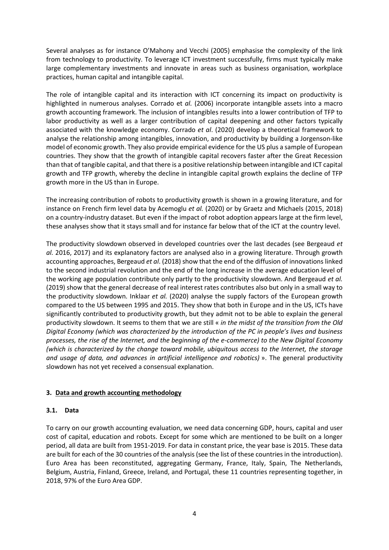Several analyses as for instance O'Mahony and Vecchi (2005) emphasise the complexity of the link from technology to productivity. To leverage ICT investment successfully, firms must typically make large complementary investments and innovate in areas such as business organisation, workplace practices, human capital and intangible capital.

The role of intangible capital and its interaction with ICT concerning its impact on productivity is highlighted in numerous analyses. Corrado et *al.* (2006) incorporate intangible assets into a macro growth accounting framework. The inclusion of intangibles results into a lower contribution of TFP to labor productivity as well as a larger contribution of capital deepening and other factors typically associated with the knowledge economy. Corrado *et al*. (2020) develop a theoretical framework to analyse the relationship among intangibles, innovation, and productivity by building a Jorgenson-like model of economic growth. They also provide empirical evidence for the US plus a sample of European countries. They show that the growth of intangible capital recovers faster after the Great Recession than that of tangible capital, and that there is a positive relationship between intangible and ICT capital growth and TFP growth, whereby the decline in intangible capital growth explains the decline of TFP growth more in the US than in Europe.

The increasing contribution of robots to productivity growth is shown in a growing literature, and for instance on French firm level data by Acemoglu *et al.* (2020) or by Graetz and Michaels (2015, 2018) on a country-industry dataset. But even if the impact of robot adoption appears large at the firm level, these analyses show that it stays small and for instance far below that of the ICT at the country level.

The productivity slowdown observed in developed countries over the last decades (see Bergeaud *et al.* 2016, 2017) and its explanatory factors are analysed also in a growing literature. Through growth accounting approaches, Bergeaud *et al*. (2018) show that the end of the diffusion of innovations linked to the second industrial revolution and the end of the long increase in the average education level of the working age population contribute only partly to the productivity slowdown. And Bergeaud *et al.* (2019) show that the general decrease of real interest rates contributes also but only in a small way to the productivity slowdown. Inklaar *et al.* (2020) analyse the supply factors of the European growth compared to the US between 1995 and 2015. They show that both in Europe and in the US, ICTs have significantly contributed to productivity growth, but they admit not to be able to explain the general productivity slowdown. It seems to them that we are still « *in the midst of the transition from the Old Digital Economy (which was characterized by the introduction of the PC in people's lives and business processes, the rise of the Internet, and the beginning of the e-commerce) to the New Digital Economy (which is characterized by the change toward mobile, ubiquitous access to the Internet, the storage and usage of data, and advances in artificial intelligence and robotics)* ». The general productivity slowdown has not yet received a consensual explanation.

# **3. Data and growth accounting methodology**

# **3.1. Data**

To carry on our growth accounting evaluation, we need data concerning GDP, hours, capital and user cost of capital, education and robots. Except for some which are mentioned to be built on a longer period, all data are built from 1951-2019. For data in constant price, the year base is 2015. These data are built for each of the 30 countries of the analysis (see the list of these countries in the introduction). Euro Area has been reconstituted, aggregating Germany, France, Italy, Spain, The Netherlands, Belgium, Austria, Finland, Greece, Ireland, and Portugal, these 11 countries representing together, in 2018, 97% of the Euro Area GDP.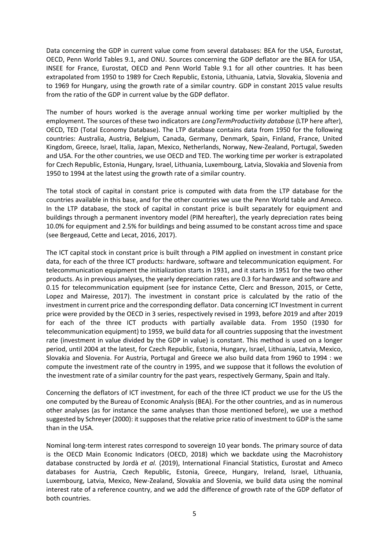Data concerning the GDP in current value come from several databases: BEA for the USA, Eurostat, OECD, Penn World Tables 9.1, and ONU. Sources concerning the GDP deflator are the BEA for USA, INSEE for France, Eurostat, OECD and Penn World Table 9.1 for all other countries. It has been extrapolated from 1950 to 1989 for Czech Republic, Estonia, Lithuania, Latvia, Slovakia, Slovenia and to 1969 for Hungary, using the growth rate of a similar country. GDP in constant 2015 value results from the ratio of the GDP in current value by the GDP deflator.

The number of hours worked is the average annual working time per worker multiplied by the employment. The sources of these two indicators are *LongTermProductivity database* (LTP here after), OECD, TED (Total Economy Database). The LTP database contains data from 1950 for the following countries: Australia, Austria, Belgium, Canada, Germany, Denmark, Spain, Finland, France, United Kingdom, Greece, Israel, Italia, Japan, Mexico, Netherlands, Norway, New-Zealand, Portugal, Sweden and USA. For the other countries, we use OECD and TED. The working time per worker is extrapolated for Czech Republic, Estonia, Hungary, Israel, Lithuania, Luxembourg, Latvia, Slovakia and Slovenia from 1950 to 1994 at the latest using the growth rate of a similar country.

The total stock of capital in constant price is computed with data from the LTP database for the countries available in this base, and for the other countries we use the Penn World table and Ameco. In the LTP database, the stock of capital in constant price is built separately for equipment and buildings through a permanent inventory model (PIM hereafter), the yearly depreciation rates being 10.0% for equipment and 2.5% for buildings and being assumed to be constant across time and space (see Bergeaud, Cette and Lecat, 2016, 2017).

The ICT capital stock in constant price is built through a PIM applied on investment in constant price data, for each of the three ICT products: hardware, software and telecommunication equipment. For telecommunication equipment the initialization starts in 1931, and it starts in 1951 for the two other products. As in previous analyses, the yearly depreciation rates are 0.3 for hardware and software and 0.15 for telecommunication equipment (see for instance Cette, Clerc and Bresson, 2015, or Cette, Lopez and Mairesse, 2017). The investment in constant price is calculated by the ratio of the investment in current price and the corresponding deflator. Data concerning ICT Investment in current price were provided by the OECD in 3 series, respectively revised in 1993, before 2019 and after 2019 for each of the three ICT products with partially available data. From 1950 (1930 for telecommunication equipment) to 1959, we build data for all countries supposing that the investment rate (investment in value divided by the GDP in value) is constant. This method is used on a longer period, until 2004 at the latest, for Czech Republic, Estonia, Hungary, Israel, Lithuania, Latvia, Mexico, Slovakia and Slovenia. For Austria, Portugal and Greece we also build data from 1960 to 1994 : we compute the investment rate of the country in 1995, and we suppose that it follows the evolution of the investment rate of a similar country for the past years, respectively Germany, Spain and Italy.

Concerning the deflators of ICT investment, for each of the three ICT product we use for the US the one computed by the Bureau of Economic Analysis (BEA). For the other countries, and as in numerous other analyses (as for instance the same analyses than those mentioned before), we use a method suggested by Schreyer (2000): it supposes that the relative price ratio of investment to GDP is the same than in the USA.

Nominal long-term interest rates correspond to sovereign 10 year bonds. The primary source of data is the OECD Main Economic Indicators (OECD, 2018) which we backdate using the Macrohistory database constructed by Jordà *et al.* (2019), International Financial Statistics, Eurostat and Ameco databases for Austria, Czech Republic, Estonia, Greece, Hungary, Ireland, Israel, Lithuania, Luxembourg, Latvia, Mexico, New-Zealand, Slovakia and Slovenia, we build data using the nominal interest rate of a reference country, and we add the difference of growth rate of the GDP deflator of both countries.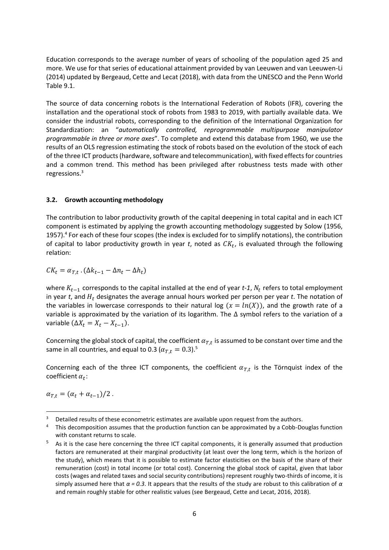Education corresponds to the average number of years of schooling of the population aged 25 and more. We use for that series of educational attainment provided by van Leeuwen and van Leeuwen-Li (2014) updated by Bergeaud, Cette and Lecat (2018), with data from the UNESCO and the Penn World Table 9.1.

The source of data concerning robots is the International Federation of Robots (IFR), covering the installation and the operational stock of robots from 1983 to 2019, with partially available data. We consider the industrial robots, corresponding to the definition of the International Organization for Standardization: an "*automatically controlled, reprogrammable multipurpose manipulator programmable in three or more axes*". To complete and extend this database from 1960, we use the results of an OLS regression estimating the stock of robots based on the evolution of the stock of each of the three ICT products(hardware, software and telecommunication), with fixed effects for countries and a common trend. This method has been privileged after robustness tests made with other regressions.<sup>3</sup>

## **3.2. Growth accounting methodology**

The contribution to labor productivity growth of the capital deepening in total capital and in each ICT component is estimated by applying the growth accounting methodology suggested by Solow (1956, 1957).<sup>4</sup> For each of these four scopes (the index is excluded for to simplify notations), the contribution of capital to labor productivity growth in year t, noted as  $\mathcal{CK}_t$ , is evaluated through the following relation:

$$
CK_t = \alpha_{T,t} \cdot (\Delta k_{t-1} - \Delta n_t - \Delta h_t)
$$

where  $K_{t-1}$  corresponds to the capital installed at the end of year *t-1,*  $N_t$  refers to total employment in year  $t$ , and  $H_t$  designates the average annual hours worked per person per year  $t$ . The notation of the variables in lowercase corresponds to their natural log  $(x = ln(X))$ , and the growth rate of a variable is approximated by the variation of its logarithm. The ∆ symbol refers to the variation of a variable  $(\Delta X_t = X_t - X_{t-1}).$ 

Concerning the global stock of capital, the coefficient  $a_{T,t}$  is assumed to be constant over time and the same in all countries, and equal to 0.3 ( $\alpha_{T,t} = 0.3$ ).<sup>5</sup>

Concerning each of the three ICT components, the coefficient  $\alpha_{T,t}$  is the Törnquist index of the coefficient  $\alpha_t$ :

 $\alpha_{T,t} = (\alpha_t + \alpha_{t-1})/2$ .

 $3$  Detailed results of these econometric estimates are available upon request from the authors.

<sup>4</sup> This decomposition assumes that the production function can be approximated by a Cobb-Douglas function with constant returns to scale.

As it is the case here concerning the three ICT capital components, it is generally assumed that production factors are remunerated at their marginal productivity (at least over the long term, which is the horizon of the study), which means that it is possible to estimate factor elasticities on the basis of the share of their remuneration (cost) in total income (or total cost). Concerning the global stock of capital, given that labor costs (wages and related taxes and social security contributions) represent roughly two-thirds of income, it is simply assumed here that *α = 0.3*. It appears that the results of the study are robust to this calibration of *α* and remain roughly stable for other realistic values (see Bergeaud, Cette and Lecat, 2016, 2018).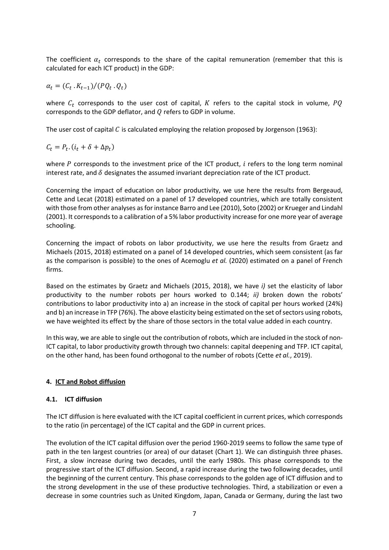The coefficient  $\alpha_t$  corresponds to the share of the capital remuneration (remember that this is calculated for each ICT product) in the GDP:

 $\alpha_t = (C_t \cdot K_{t-1})/(PQ_t \cdot Q_t)$ 

where  $C_t$  corresponds to the user cost of capital,  $K$  refers to the capital stock in volume,  $PQ$ corresponds to the GDP deflator, and  $Q$  refers to GDP in volume.

The user cost of capital C is calculated employing the relation proposed by Jorgenson (1963):

 $C_t = P_t (i_t + \delta + \Delta p_t)$ 

where  $P$  corresponds to the investment price of the ICT product,  $i$  refers to the long term nominal interest rate, and  $\delta$  designates the assumed invariant depreciation rate of the ICT product.

Concerning the impact of education on labor productivity, we use here the results from Bergeaud, Cette and Lecat (2018) estimated on a panel of 17 developed countries, which are totally consistent with those from other analyses as for instance Barro and Lee (2010), Soto (2002) or Krueger and Lindahl (2001). It corresponds to a calibration of a 5% labor productivity increase for one more year of average schooling.

Concerning the impact of robots on labor productivity, we use here the results from Graetz and Michaels (2015, 2018) estimated on a panel of 14 developed countries, which seem consistent (as far as the comparison is possible) to the ones of Acemoglu *et al.* (2020) estimated on a panel of French firms.

Based on the estimates by Graetz and Michaels (2015, 2018), we have *i)* set the elasticity of labor productivity to the number robots per hours worked to 0.144; *ii)* broken down the robots' contributions to labor productivity into a) an increase in the stock of capital per hours worked (24%) and b) an increase in TFP (76%). The above elasticity being estimated on the set of sectors using robots, we have weighted its effect by the share of those sectors in the total value added in each country.

In this way, we are able to single out the contribution of robots, which are included in the stock of non-ICT capital, to labor productivity growth through two channels: capital deepening and TFP. ICT capital, on the other hand, has been found orthogonal to the number of robots (Cette *et al.*, 2019).

# **4. ICT and Robot diffusion**

#### **4.1. ICT diffusion**

The ICT diffusion is here evaluated with the ICT capital coefficient in current prices, which corresponds to the ratio (in percentage) of the ICT capital and the GDP in current prices.

The evolution of the ICT capital diffusion over the period 1960-2019 seems to follow the same type of path in the ten largest countries (or area) of our dataset (Chart 1). We can distinguish three phases. First, a slow increase during two decades, until the early 1980s. This phase corresponds to the progressive start of the ICT diffusion. Second, a rapid increase during the two following decades, until the beginning of the current century. This phase corresponds to the golden age of ICT diffusion and to the strong development in the use of these productive technologies. Third, a stabilization or even a decrease in some countries such as United Kingdom, Japan, Canada or Germany, during the last two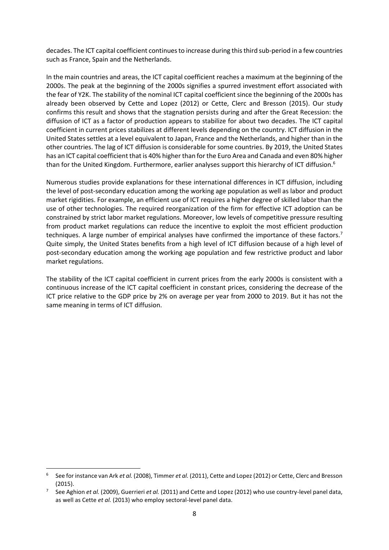decades. The ICT capital coefficient continues to increase during this third sub-period in a few countries such as France, Spain and the Netherlands.

In the main countries and areas, the ICT capital coefficient reaches a maximum at the beginning of the 2000s. The peak at the beginning of the 2000s signifies a spurred investment effort associated with the fear of Y2K. The stability of the nominal ICT capital coefficient since the beginning of the 2000s has already been observed by Cette and Lopez (2012) or Cette, Clerc and Bresson (2015). Our study confirms this result and shows that the stagnation persists during and after the Great Recession: the diffusion of ICT as a factor of production appears to stabilize for about two decades. The ICT capital coefficient in current prices stabilizes at different levels depending on the country. ICT diffusion in the United States settles at a level equivalent to Japan, France and the Netherlands, and higher than in the other countries. The lag of ICT diffusion is considerable for some countries. By 2019, the United States has an ICT capital coefficient that is 40% higher than for the Euro Area and Canada and even 80% higher than for the United Kingdom. Furthermore, earlier analyses support this hierarchy of ICT diffusion.<sup>6</sup>

Numerous studies provide explanations for these international differences in ICT diffusion, including the level of post-secondary education among the working age population as well as labor and product market rigidities. For example, an efficient use of ICT requires a higher degree of skilled labor than the use of other technologies. The required reorganization of the firm for effective ICT adoption can be constrained by strict labor market regulations. Moreover, low levels of competitive pressure resulting from product market regulations can reduce the incentive to exploit the most efficient production techniques. A large number of empirical analyses have confirmed the importance of these factors.<sup>7</sup> Quite simply, the United States benefits from a high level of ICT diffusion because of a high level of post-secondary education among the working age population and few restrictive product and labor market regulations.

The stability of the ICT capital coefficient in current prices from the early 2000s is consistent with a continuous increase of the ICT capital coefficient in constant prices, considering the decrease of the ICT price relative to the GDP price by 2% on average per year from 2000 to 2019. But it has not the same meaning in terms of ICT diffusion.

<sup>6</sup> See for instance van Ark *et al.* (2008), Timmer *et al.* (2011), Cette and Lopez (2012) or Cette, Clerc and Bresson (2015).

<sup>7</sup> See Aghion *et al.* (2009), Guerrieri *et al.* (2011) and Cette and Lopez (2012) who use country-level panel data, as well as Cette *et al.* (2013) who employ sectoral-level panel data.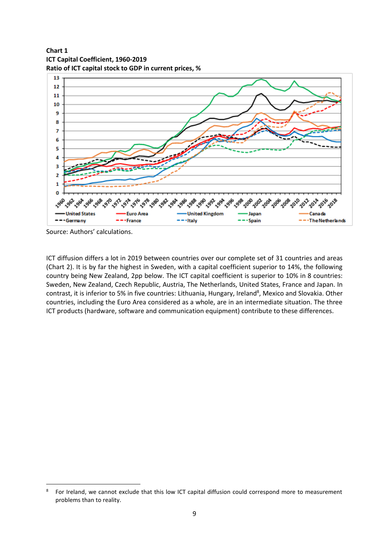**Chart 1 ICT Capital Coefficient, 1960-2019 Ratio of ICT capital stock to GDP in current prices, %**



Source: Authors' calculations.

ICT diffusion differs a lot in 2019 between countries over our complete set of 31 countries and areas (Chart 2). It is by far the highest in Sweden, with a capital coefficient superior to 14%, the following country being New Zealand, 2pp below. The ICT capital coefficient is superior to 10% in 8 countries: Sweden, New Zealand, Czech Republic, Austria, The Netherlands, United States, France and Japan. In contrast, it is inferior to 5% in five countries: Lithuania, Hungary, Ireland<sup>8</sup>, Mexico and Slovakia. Other countries, including the Euro Area considered as a whole, are in an intermediate situation. The three ICT products (hardware, software and communication equipment) contribute to these differences.

<sup>8</sup> For Ireland, we cannot exclude that this low ICT capital diffusion could correspond more to measurement problems than to reality.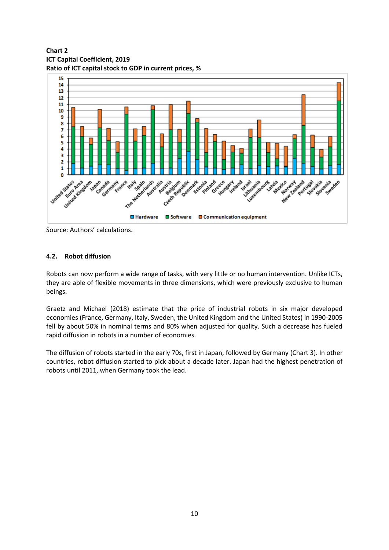**Chart 2 ICT Capital Coefficient, 2019 Ratio of ICT capital stock to GDP in current prices, %**



Source: Authors' calculations.

# **4.2. Robot diffusion**

Robots can now perform a wide range of tasks, with very little or no human intervention. Unlike ICTs, they are able of flexible movements in three dimensions, which were previously exclusive to human beings.

Graetz and Michael (2018) estimate that the price of industrial robots in six major developed economies (France, Germany, Italy, Sweden, the United Kingdom and the United States) in 1990-2005 fell by about 50% in nominal terms and 80% when adjusted for quality. Such a decrease has fueled rapid diffusion in robots in a number of economies.

The diffusion of robots started in the early 70s, first in Japan, followed by Germany (Chart 3). In other countries, robot diffusion started to pick about a decade later. Japan had the highest penetration of robots until 2011, when Germany took the lead.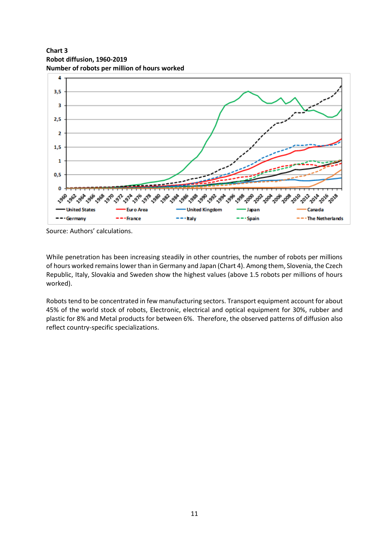**Chart 3 Robot diffusion, 1960-2019 Number of robots per million of hours worked**



Source: Authors' calculations.

While penetration has been increasing steadily in other countries, the number of robots per millions of hours worked remains lower than in Germany and Japan (Chart 4). Among them, Slovenia, the Czech Republic, Italy, Slovakia and Sweden show the highest values (above 1.5 robots per millions of hours worked).

Robots tend to be concentrated in few manufacturing sectors. Transport equipment account for about 45% of the world stock of robots, Electronic, electrical and optical equipment for 30%, rubber and plastic for 8% and Metal products for between 6%. Therefore, the observed patterns of diffusion also reflect country-specific specializations.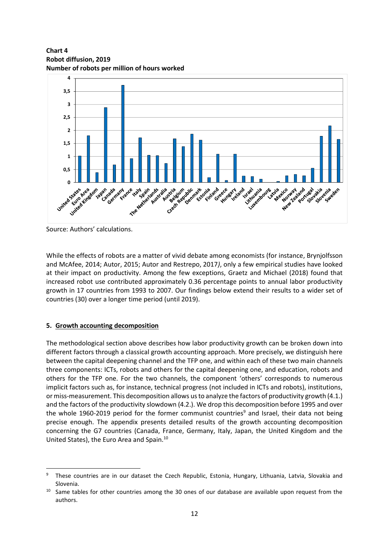**Chart 4 Robot diffusion, 2019 Number of robots per million of hours worked**



Source: Authors' calculations.

While the effects of robots are a matter of vivid debate among economists (for instance, Brynjolfsson and McAfee, 2014; Autor, 2015; Autor and Restrepo, 2017*)*, only a few empirical studies have looked at their impact on productivity. Among the few exceptions, Graetz and Michael (2018) found that increased robot use contributed approximately 0.36 percentage points to annual labor productivity growth in 17 countries from 1993 to 2007. Our findings below extend their results to a wider set of countries (30) over a longer time period (until 2019).

# **5. Growth accounting decomposition**

The methodological section above describes how labor productivity growth can be broken down into different factors through a classical growth accounting approach. More precisely, we distinguish here between the capital deepening channel and the TFP one, and within each of these two main channels three components: ICTs, robots and others for the capital deepening one, and education, robots and others for the TFP one. For the two channels, the component 'others' corresponds to numerous implicit factors such as, for instance, technical progress (not included in ICTs and robots), institutions, or miss-measurement. This decomposition allows us to analyze the factors of productivity growth (4.1.) and the factors of the productivity slowdown (4.2.). We drop this decomposition before 1995 and over the whole 1960-2019 period for the former communist countries<sup>9</sup> and Israel, their data not being precise enough. The appendix presents detailed results of the growth accounting decomposition concerning the G7 countries (Canada, France, Germany, Italy, Japan, the United Kingdom and the United States), the Euro Area and Spain.<sup>10</sup>

These countries are in our dataset the Czech Republic, Estonia, Hungary, Lithuania, Latvia, Slovakia and Slovenia.

<sup>&</sup>lt;sup>10</sup> Same tables for other countries among the 30 ones of our database are available upon request from the authors.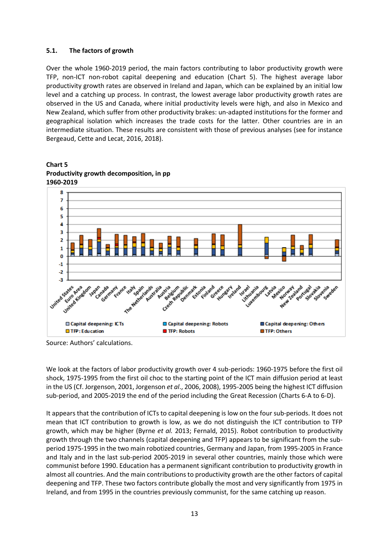## **5.1. The factors of growth**

Over the whole 1960-2019 period, the main factors contributing to labor productivity growth were TFP, non-ICT non-robot capital deepening and education (Chart 5). The highest average labor productivity growth rates are observed in Ireland and Japan, which can be explained by an initial low level and a catching up process. In contrast, the lowest average labor productivity growth rates are observed in the US and Canada, where initial productivity levels were high, and also in Mexico and New Zealand, which suffer from other productivity brakes: un-adapted institutions for the former and geographical isolation which increases the trade costs for the latter. Other countries are in an intermediate situation. These results are consistent with those of previous analyses (see for instance Bergeaud, Cette and Lecat, 2016, 2018).



**Chart 5 Productivity growth decomposition, in pp 1960-2019**

Source: Authors' calculations.

We look at the factors of labor productivity growth over 4 sub-periods: 1960-1975 before the first oil shock, 1975-1995 from the first oil choc to the starting point of the ICT main diffusion period at least in the US (Cf. Jorgenson, 2001, Jorgenson *et al*., 2006, 2008), 1995-2005 being the highest ICT diffusion sub-period, and 2005-2019 the end of the period including the Great Recession (Charts 6-A to 6-D).

It appears that the contribution of ICTs to capital deepening is low on the four sub-periods. It does not mean that ICT contribution to growth is low, as we do not distinguish the ICT contribution to TFP growth, which may be higher (Byrne *et al.* 2013; Fernald, 2015). Robot contribution to productivity growth through the two channels (capital deepening and TFP) appears to be significant from the subperiod 1975-1995 in the two main robotized countries, Germany and Japan, from 1995-2005 in France and Italy and in the last sub-period 2005-2019 in several other countries, mainly those which were communist before 1990. Education has a permanent significant contribution to productivity growth in almost all countries. And the main contributions to productivity growth are the other factors of capital deepening and TFP. These two factors contribute globally the most and very significantly from 1975 in Ireland, and from 1995 in the countries previously communist, for the same catching up reason.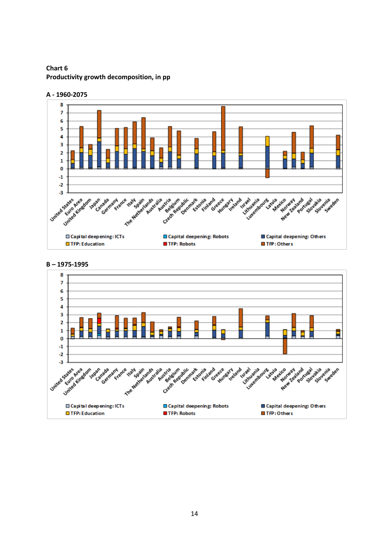**Chart 6 Productivity growth decomposition, in pp**



**A - 1960-2075**



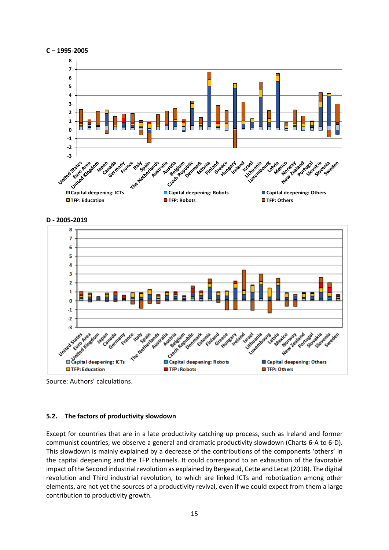





Source: Authors' calculations.

#### **5.2. The factors of productivity slowdown**

Except for countries that are in a late productivity catching up process, such as Ireland and former communist countries, we observe a general and dramatic productivity slowdown (Charts 6-A to 6-D). This slowdown is mainly explained by a decrease of the contributions of the components 'others' in the capital deepening and the TFP channels. It could correspond to an exhaustion of the favorable impact of the Second industrial revolution as explained by Bergeaud, Cette and Lecat (2018). The digital revolution and Third industrial revolution, to which are linked ICTs and robotization among other elements, are not yet the sources of a productivity revival, even if we could expect from them a large contribution to productivity growth.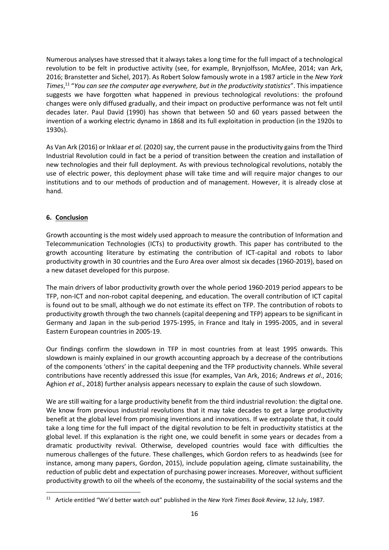Numerous analyses have stressed that it always takes a long time for the full impact of a technological revolution to be felt in productive activity (see, for example, Brynjolfsson, McAfee, 2014; van Ark, 2016; Branstetter and Sichel, 2017). As Robert Solow famously wrote in a 1987 article in the *New York Times*, 11 "*You can see the computer age everywhere, but in the productivity statistics*". This impatience suggests we have forgotten what happened in previous technological revolutions: the profound changes were only diffused gradually, and their impact on productive performance was not felt until decades later. Paul David (1990) has shown that between 50 and 60 years passed between the invention of a working electric dynamo in 1868 and its full exploitation in production (in the 1920s to 1930s).

As Van Ark (2016) or Inklaar *et al.* (2020) say, the current pause in the productivity gains from the Third Industrial Revolution could in fact be a period of transition between the creation and installation of new technologies and their full deployment. As with previous technological revolutions, notably the use of electric power, this deployment phase will take time and will require major changes to our institutions and to our methods of production and of management. However, it is already close at hand.

## **6. Conclusion**

Growth accounting is the most widely used approach to measure the contribution of Information and Telecommunication Technologies (ICTs) to productivity growth. This paper has contributed to the growth accounting literature by estimating the contribution of ICT-capital and robots to labor productivity growth in 30 countries and the Euro Area over almost six decades (1960-2019), based on a new dataset developed for this purpose.

The main drivers of labor productivity growth over the whole period 1960-2019 period appears to be TFP, non-ICT and non-robot capital deepening, and education. The overall contribution of ICT capital is found out to be small, although we do not estimate its effect on TFP. The contribution of robots to productivity growth through the two channels (capital deepening and TFP) appears to be significant in Germany and Japan in the sub-period 1975-1995, in France and Italy in 1995-2005, and in several Eastern European countries in 2005-19.

Our findings confirm the slowdown in TFP in most countries from at least 1995 onwards. This slowdown is mainly explained in our growth accounting approach by a decrease of the contributions of the components 'others' in the capital deepening and the TFP productivity channels. While several contributions have recently addressed this issue (for examples, Van Ark, 2016; Andrews *et al*., 2016; Aghion *et al*., 2018) further analysis appears necessary to explain the cause of such slowdown.

We are still waiting for a large productivity benefit from the third industrial revolution: the digital one. We know from previous industrial revolutions that it may take decades to get a large productivity benefit at the global level from promising inventions and innovations. If we extrapolate that, it could take a long time for the full impact of the digital revolution to be felt in productivity statistics at the global level. If this explanation is the right one, we could benefit in some years or decades from a dramatic productivity revival. Otherwise, developed countries would face with difficulties the numerous challenges of the future. These challenges, which Gordon refers to as headwinds (see for instance, among many papers, Gordon, 2015), include population ageing, climate sustainability, the reduction of public debt and expectation of purchasing power increases. Moreover, without sufficient productivity growth to oil the wheels of the economy, the sustainability of the social systems and the

<sup>11</sup> Article entitled "We'd better watch out" published in the *New York Times Book Review*, 12 July, 1987.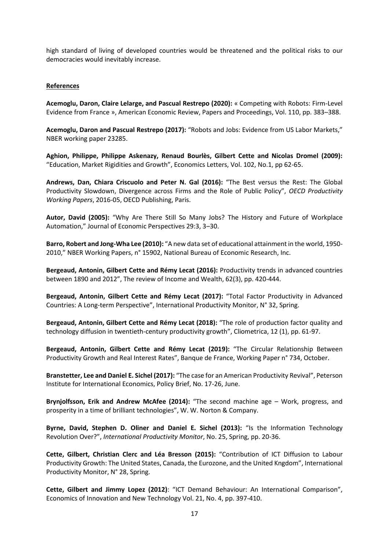high standard of living of developed countries would be threatened and the political risks to our democracies would inevitably increase.

#### **References**

**Acemoglu, Daron, Claire Lelarge, and Pascual Restrepo (2020):** « Competing with Robots: Firm-Level Evidence from France », American Economic Review, Papers and Proceedings, Vol. 110, pp. 383–388.

**Acemoglu, Daron and Pascual Restrepo (2017):** "Robots and Jobs: Evidence from US Labor Markets," NBER working paper 23285.

**Aghion, Philippe, Philippe Askenazy, Renaud Bourlès, Gilbert Cette and Nicolas Dromel (2009):**  "Education, Market Rigidities and Growth", Economics Letters, Vol. 102, No.1, pp 62-65.

**Andrews, Dan, Chiara Criscuolo and Peter N. Gal (2016):** "The Best versus the Rest: The Global Productivity Slowdown, Divergence across Firms and the Role of Public Policy", *OECD Productivity Working Papers*, 2016-05, OECD Publishing, Paris.

**Autor, David (2005):** "Why Are There Still So Many Jobs? The History and Future of Workplace Automation," Journal of Economic Perspectives 29:3, 3–30.

**Barro, Robert and Jong-Wha Lee (2010):** "A new data set of educational attainment in the world, 1950- 2010," NBER Working Papers, n° 15902, National Bureau of Economic Research, Inc.

**Bergeaud, Antonin, Gilbert Cette and Rémy Lecat (2016):** Productivity trends in advanced countries between 1890 and 2012", The review of Income and Wealth, 62(3), pp. 420-444.

**Bergeaud, Antonin, Gilbert Cette and Rémy Lecat (2017):** "Total Factor Productivity in Advanced Countries: A Long-term Perspective", International Productivity Monitor, N° 32, Spring.

**Bergeaud, Antonin, Gilbert Cette and Rémy Lecat (2018):** "The role of production factor quality and technology diffusion in twentieth-century productivity growth", Cliometrica, 12 (1), pp. 61-97.

**Bergeaud, Antonin, Gilbert Cette and Rémy Lecat (2019):** "The Circular Relationship Between Productivity Growth and Real Interest Rates", Banque de France, Working Paper n° 734, October.

**Branstetter, Lee and Daniel E. Sichel (2017):** "The case for an American Productivity Revival", Peterson Institute for International Economics, Policy Brief, No. 17-26, June.

**Brynjolfsson, Erik and Andrew McAfee (2014):** "The second machine age – Work, progress, and prosperity in a time of brilliant technologies", W. W. Norton & Company.

**Byrne, David, Stephen D. Oliner and Daniel E. Sichel (2013):** "Is the Information Technology Revolution Over?", *International Productivity Monitor*, No. 25, Spring, pp. 20-36.

**Cette, Gilbert, Christian Clerc and Léa Bresson (2015):** "Contribution of ICT Diffusion to Labour Productivity Growth: The United States, Canada, the Eurozone, and the United Kngdom", International Productivity Monitor, N° 28, Spring.

**Cette, Gilbert and Jimmy Lopez (2012)**: "ICT Demand Behaviour: An International Comparison", Economics of Innovation and New Technology Vol. 21, No. 4, pp. 397-410.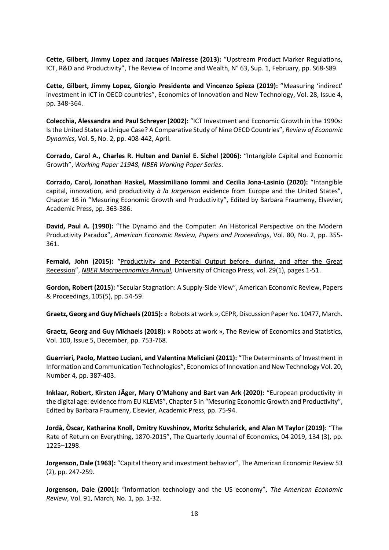**Cette, Gilbert, Jimmy Lopez and Jacques Mairesse (2013):** "Upstream Product Marker Regulations, ICT, R&D and Productivity", The Review of Income and Wealth, N° 63, Sup. 1, February, pp. S68-S89.

**Cette, Gilbert, Jimmy Lopez, Giorgio Presidente and Vincenzo Spieza (2019):** "Measuring 'indirect' investment in ICT in OECD countries", Economics of Innovation and New Technology, Vol. 28, Issue 4, pp. 348-364.

**Colecchia, Alessandra and Paul Schreyer (2002):** "ICT Investment and Economic Growth in the 1990s: Isthe United States a Unique Case? A Comparative Study of Nine OECD Countries", *Review of Economic Dynamics*, Vol. 5, No. 2, pp. 408-442, April.

**Corrado, Carol A., Charles R. Hulten and Daniel E. Sichel (2006):** "Intangible Capital and Economic Growth", *Working Paper 11948, NBER Working Paper Series*.

**Corrado, Carol, Jonathan Haskel, Massimiliano Iommi and Cecilia Jona-Lasinio (2020):** "Intangible capital, innovation, and productivity *à la Jorgenson* evidence from Europe and the United States", Chapter 16 in "Mesuring Economic Growth and Productivity", Edited by Barbara Fraumeny, Elsevier, Academic Press, pp. 363-386.

**David, Paul A. (1990):** "The Dynamo and the Computer: An Historical Perspective on the Modern Productivity Paradox", *American Economic Review, Papers and Proceedings*, Vol. 80, No. 2, pp. 355- 361.

**Fernald, John (2015):** "[Productivity and Potential Output before, during, and after the Great](https://ideas.repec.org/a/ucp/macann/doi10.1086-680580.html)  [Recession](https://ideas.repec.org/a/ucp/macann/doi10.1086-680580.html)", *[NBER Macroeconomics Annual](https://ideas.repec.org/s/ucp/macann.html)*, University of Chicago Press, vol. 29(1), pages 1-51.

**Gordon, Robert (2015):** "Secular Stagnation: A Supply-Side View", American Economic Review, Papers & Proceedings, 105(5), pp. 54-59.

**Graetz, Georg and Guy Michaels (2015):** « Robots at work », CEPR, Discussion Paper No. 10477, March.

**Graetz, Georg and Guy Michaels (2018):** « Robots at work », The Review of Economics and Statistics, Vol. 100, Issue 5, December, pp. 753-768.

**Guerrieri, Paolo, Matteo Luciani, and Valentina Meliciani (2011):** "The Determinants of Investment in Information and Communication Technologies", Economics of Innovation and New Technology Vol. 20, Number 4, pp. 387-403.

**Inklaar, Robert, Kirsten JÄger, Mary O'Mahony and Bart van Ark (2020):** "European productivity in the digital age: evidence from EU KLEMS", Chapter 5 in "Mesuring Economic Growth and Productivity", Edited by Barbara Fraumeny, Elsevier, Academic Press, pp. 75-94.

**Jordà, Òscar, Katharina Knoll, Dmitry Kuvshinov, Moritz Schularick, and Alan M Taylor (2019):** "The Rate of Return on Everything, 1870-2015", The Quarterly Journal of Economics, 04 2019, 134 (3), pp. 1225–1298.

**Jorgenson, Dale (1963):** "Capital theory and investment behavior", The American Economic Review 53 (2), pp. 247-259.

**Jorgenson, Dale (2001):** "Information technology and the US economy", *The American Economic Review*, Vol. 91, March, No. 1, pp. 1-32.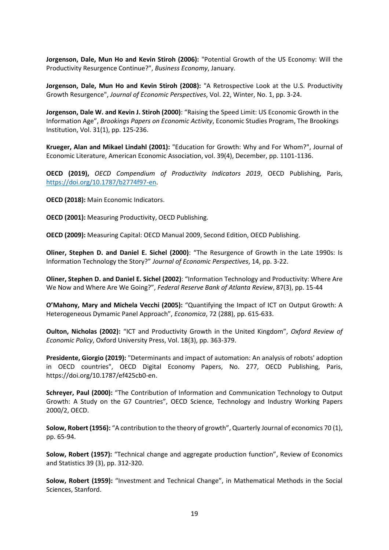**Jorgenson, Dale, Mun Ho and Kevin Stiroh (2006):** "Potential Growth of the US Economy: Will the Productivity Resurgence Continue?", *Business Economy*, January.

**Jorgenson, Dale, Mun Ho and Kevin Stiroh (2008):** "A Retrospective Look at the U.S. Productivity Growth Resurgence", *Journal of Economic Perspectives*, Vol. 22, Winter, No. 1, pp. 3-24.

**Jorgenson, Dale W. and Kevin J. Stiroh (2000)**: "Raising the Speed Limit: US Economic Growth in the Information Age", *Brookings Papers on Economic Activity*, Economic Studies Program, The Brookings Institution, Vol. 31(1), pp. 125-236.

**Krueger, Alan and Mikael Lindahl (2001):** "Education for Growth: Why and For Whom?", Journal of Economic Literature, American Economic Association, vol. 39(4), December, pp. 1101-1136.

**OECD (2019),** *OECD Compendium of Productivity Indicators 2019*, OECD Publishing, Paris, [https://doi.org/10.1787/b2774f97-en.](https://doi.org/10.1787/b2774f97-en)

**OECD (2018):** Main Economic Indicators.

**OECD (2001):** Measuring Productivity, OECD Publishing.

**OECD (2009):** Measuring Capital: OECD Manual 2009, Second Edition, OECD Publishing.

**Oliner, Stephen D. and Daniel E. Sichel (2000)**: "The Resurgence of Growth in the Late 1990s: Is Information Technology the Story?" *Journal of Economic Perspectives*, 14, pp. 3-22.

**Oliner, Stephen D. and Daniel E. Sichel (2002)**: "Information Technology and Productivity: Where Are We Now and Where Are We Going?", *Federal Reserve Bank of Atlanta Review*, 87(3), pp. 15-44

**O'Mahony, Mary and Michela Vecchi (2005):** "Quantifying the Impact of ICT on Output Growth: A Heterogeneous Dymamic Panel Approach", *Economica*, 72 (288), pp. 615-633.

**Oulton, Nicholas (2002):** "ICT and Productivity Growth in the United Kingdom", *Oxford Review of Economic Policy*, Oxford University Press, Vol. 18(3), pp. 363-379.

**Presidente, Giorgio (2019):** "Determinants and impact of automation: An analysis of robots' adoption in OECD countries", OECD Digital Economy Papers, No. 277, OECD Publishing, Paris, https://doi.org/10.1787/ef425cb0-en.

**Schreyer, Paul (2000):** "The Contribution of Information and Communication Technology to Output Growth: A Study on the G7 Countries", OECD Science, Technology and Industry Working Papers 2000/2, OECD.

**Solow, Robert (1956):** "A contribution to the theory of growth", Quarterly Journal of economics 70 (1), pp. 65-94.

**Solow, Robert (1957):** "Technical change and aggregate production function", Review of Economics and Statistics 39 (3), pp. 312-320.

**Solow, Robert (1959):** "Investment and Technical Change", in Mathematical Methods in the Social Sciences, Stanford.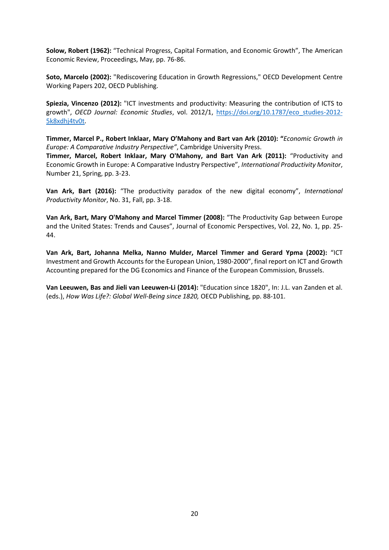**Solow, Robert (1962):** "Technical Progress, Capital Formation, and Economic Growth", The American Economic Review, Proceedings, May, pp. 76-86.

**Soto, Marcelo (2002):** "Rediscovering Education in Growth Regressions," OECD Development Centre Working Papers 202, OECD Publishing.

**Spiezia, Vincenzo (2012):** "ICT investments and productivity: Measuring the contribution of ICTS to growth", *OECD Journal: Economic Studies*, vol. 2012/1, [https://doi.org/10.1787/eco\\_studies-2012-](https://doi.org/10.1787/eco_studies-2012-5k8xdhj4tv0t) [5k8xdhj4tv0t.](https://doi.org/10.1787/eco_studies-2012-5k8xdhj4tv0t)

**Timmer, Marcel P., Robert Inklaar, Mary O'Mahony and Bart van Ark (2010): "***Economic Growth in Europe: A Comparative Industry Perspective"*, Cambridge University Press.

**Timmer, Marcel, Robert Inklaar, Mary O'Mahony, and Bart Van Ark (2011):** "Productivity and Economic Growth in Europe: A Comparative Industry Perspective", *International Productivity Monitor*, Number 21, Spring, pp. 3-23.

**Van Ark, Bart (2016):** "The productivity paradox of the new digital economy", *International Productivity Monitor*, No. 31, Fall, pp. 3-18.

**Van Ark, Bart, Mary O'Mahony and Marcel Timmer (2008):** "The Productivity Gap between Europe and the United States: Trends and Causes", Journal of Economic Perspectives, Vol. 22, No. 1, pp. 25- 44.

**Van Ark, Bart, Johanna Melka, Nanno Mulder, Marcel Timmer and Gerard Ypma (2002):** "ICT Investment and Growth Accounts for the European Union, 1980-2000", final report on ICT and Growth Accounting prepared for the DG Economics and Finance of the European Commission, Brussels.

**Van Leeuwen, Bas and Jieli van Leeuwen-Li (2014):** "Education since 1820", In: J.L. van Zanden et al. (eds.), *How Was Life?: Global Well-Being since 1820,* OECD Publishing, pp. 88-101.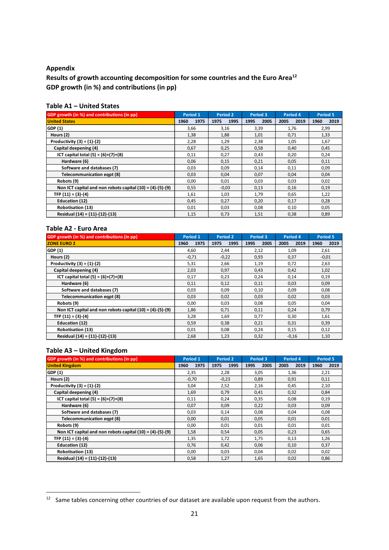## **Appendix**

**Results of growth accounting decomposition for some countries and the Euro Area<sup>12</sup> GDP growth (in %) and contributions (in pp)**

| GDP growth (in %) and contributions (in pp)                 | Period 1     | Period 2     | Period 3     | Period 4     | Period 5     |
|-------------------------------------------------------------|--------------|--------------|--------------|--------------|--------------|
| <b>United States</b>                                        | 1975<br>1960 | 1995<br>1975 | 1995<br>2005 | 2019<br>2005 | 2019<br>1960 |
| GDP (1)                                                     | 3,66         | 3,16         | 3,39         | 1,76         | 2,99         |
| Hours (2)                                                   | 1,38         | 1,88         | 1,01         | 0,71         | 1,33         |
| Productivity $(3) = (1)-(2)$                                | 2,28         | 1,29         | 2,38         | 1,05         | 1,67         |
| Capital deepening (4)                                       | 0,67         | 0,25         | 0,58         | 0,40         | 0,45         |
| ICT capital total $(5) = (6)+(7)+(8)$                       | 0,11         | 0,27         | 0,43         | 0,20         | 0,24         |
| Hardware (6)                                                | 0,06         | 0,15         | 0,21         | 0,05         | 0,11         |
| Software and databases (7)                                  | 0,03         | 0,09         | 0,14         | 0,11         | 0,09         |
| Telecommunication egpt (8)                                  | 0,03         | 0,04         | 0,07         | 0,04         | 0,04         |
| Robots (9)                                                  | 0,00         | 0,01         | 0,03         | 0,03         | 0,02         |
| Non ICT capital and non robots capital $(10) = (4)-(5)-(9)$ | 0,55         | $-0,03$      | 0,13         | 0,16         | 0,19         |
| TFP $(11) = (3)-(4)$                                        | 1,61         | 1,03         | 1,79         | 0,65         | 1,22         |
| Education (12)                                              | 0,45         | 0,27         | 0,20         | 0,17         | 0,28         |
| Robotisation (13)                                           | 0,01         | 0,03         | 0,08         | 0,10         | 0,05         |
| Residual (14) = (11)-(12)-(13)                              | 1,15         | 0,73         | 1,51         | 0,38         | 0,89         |

# **Table A1 – United States**

#### **Table A2 - Euro Area**

| GDP growth (in %) and contributions (in pp)                 | Period 1     | <b>Period 2</b> | <b>Period 3</b> | Period 4     | <b>Period 5</b> |
|-------------------------------------------------------------|--------------|-----------------|-----------------|--------------|-----------------|
| <b>ZONE EURO 2</b>                                          | 1975<br>1960 | 1995<br>1975    | 2005<br>1995    | 2019<br>2005 | 2019<br>1960    |
| GDP (1)                                                     | 4.60         | 2,44            | 2,12            | 1,09         | 2,61            |
| Hours (2)                                                   | $-0,71$      | $-0,22$         | 0,93            | 0,37         | $-0.01$         |
| Productivity $(3) = (1) - (2)$                              | 5,31         | 2,66            | 1,19            | 0,72         | 2,63            |
| Capital deepening (4)                                       | 2,03         | 0,97            | 0,43            | 0,42         | 1,02            |
| ICT capital total $(5) = (6)+(7)+(8)$                       | 0,17         | 0,23            | 0,24            | 0,14         | 0,19            |
| Hardware (6)                                                | 0,11         | 0,12            | 0,11            | 0,03         | 0,09            |
| Software and databases (7)                                  | 0,03         | 0,09            | 0,10            | 0,09         | 0,08            |
| Telecommunication egpt (8)                                  | 0,03         | 0,02            | 0,03            | 0,02         | 0,03            |
| Robots (9)                                                  | 0,00         | 0,03            | 0,08            | 0,05         | 0,04            |
| Non ICT capital and non robots capital $(10) = (4)-(5)-(9)$ | 1,86         | 0,71            | 0,11            | 0,24         | 0,79            |
| TFP $(11) = (3)-(4)$                                        | 3,28         | 1,69            | 0,77            | 0,30         | 1,61            |
| Education (12)                                              | 0,59         | 0,38            | 0,21            | 0,31         | 0,39            |
| <b>Robotisation (13)</b>                                    | 0,01         | 0,08            | 0,24            | 0,15         | 0,12            |
| Residual (14) = (11)-(12)-(13)                              | 2,68         | 1,23            | 0,32            | $-0,16$      | 1,10            |

## **Table A3 – United Kingdom**

| GDP growth (in %) and contributions (in pp)                 | Period 1     | <b>Period 2</b> | Period 3     | Period 4     | <b>Period 5</b> |
|-------------------------------------------------------------|--------------|-----------------|--------------|--------------|-----------------|
| <b>United Kingdom</b>                                       | 1975<br>1960 | 1995<br>1975    | 2005<br>1995 | 2019<br>2005 | 2019<br>1960    |
| GDP (1)                                                     | 2,35         | 2,28            | 3,05         | 1,36         | 2,21            |
| Hours (2)                                                   | $-0,70$      | $-0,23$         | 0,89         | 0,91         | 0,11            |
| Productivity $(3) = (1)-(2)$                                | 3,04         | 2,52            | 2,16         | 0,45         | 2,10            |
| Capital deepening (4)                                       | 1,69         | 0,79            | 0,41         | 0,32         | 0,84            |
| ICT capital total $(5) = (6)+(7)+(8)$                       | 0,11         | 0,24            | 0,35         | 0,08         | 0,19            |
| Hardware (6)                                                | 0,07         | 0,09            | 0,22         | 0,03         | 0,09            |
| Software and databases (7)                                  | 0,03         | 0,14            | 0,08         | 0,04         | 0,08            |
| Telecommunication egpt (8)                                  | 0,00         | 0,01            | 0,05         | 0,01         | 0,01            |
| Robots (9)                                                  | 0,00         | 0,01            | 0,01         | 0,01         | 0,01            |
| Non ICT capital and non robots capital $(10) = (4)-(5)-(9)$ | 1,58         | 0,54            | 0,05         | 0,23         | 0,65            |
| TFP $(11) = (3)-(4)$                                        | 1,35         | 1,72            | 1,75         | 0,13         | 1,26            |
| Education (12)                                              | 0,76         | 0,42            | 0,06         | 0,10         | 0,37            |
| <b>Robotisation (13)</b>                                    | 0,00         | 0,03            | 0,04         | 0,02         | 0,02            |
| Residual (14) = (11)-(12)-(13)                              | 0,58         | 1,27            | 1,65         | 0,02         | 0,86            |

<sup>&</sup>lt;sup>12</sup> Same tables concerning other countries of our dataset are available upon request from the authors.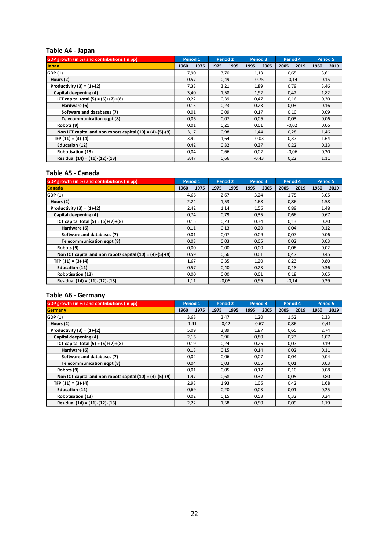#### **Table A4 - Japan**

| GDP growth (in %) and contributions (in pp)                 | Period 1     | <b>Period 2</b> | Period 3     | Period 4     | <b>Period 5</b> |
|-------------------------------------------------------------|--------------|-----------------|--------------|--------------|-----------------|
| <b>Japan</b>                                                | 1960<br>1975 | 1995<br>1975    | 2005<br>1995 | 2019<br>2005 | 1960<br>2019    |
| GDP (1)                                                     | 7,90         | 3,70            | 1,13         | 0,65         | 3,61            |
| Hours (2)                                                   | 0,57         | 0,49            | $-0,75$      | $-0,14$      | 0,15            |
| Productivity $(3) = (1) - (2)$                              | 7,33         | 3,21            | 1,89         | 0,79         | 3,46            |
| Capital deepening (4)                                       | 3,40         | 1,58            | 1,92         | 0,42         | 1,82            |
| ICT capital total $(5) = (6)+(7)+(8)$                       | 0,22         | 0,39            | 0,47         | 0,16         | 0,30            |
| Hardware (6)                                                | 0,15         | 0,23            | 0,23         | 0,03         | 0,16            |
| Software and databases (7)                                  | 0,01         | 0,09            | 0,17         | 0,10         | 0,09            |
| Telecommunication egpt (8)                                  | 0,06         | 0,07            | 0,06         | 0,03         | 0,06            |
| Robots (9)                                                  | 0,01         | 0,21            | 0,01         | $-0.02$      | 0,06            |
| Non ICT capital and non robots capital $(10) = (4)-(5)-(9)$ | 3,17         | 0,98            | 1,44         | 0,28         | 1,46            |
| TFP $(11) = (3)-(4)$                                        | 3,92         | 1,64            | $-0.03$      | 0,37         | 1,64            |
| Education (12)                                              | 0,42         | 0,32            | 0,37         | 0,22         | 0,33            |
| <b>Robotisation (13)</b>                                    | 0,04         | 0,66            | 0,02         | $-0.06$      | 0,20            |
| Residual (14) = (11)-(12)-(13)                              | 3,47         | 0,66            | $-0.43$      | 0,22         | 1,11            |

## **Table A5 - Canada**

| GDP growth (in %) and contributions (in pp)                 | Period 1     | Period 2     | Period 3     | Period 4     | Period 5     |
|-------------------------------------------------------------|--------------|--------------|--------------|--------------|--------------|
| <b>Canada</b>                                               | 1975<br>1960 | 1995<br>1975 | 2005<br>1995 | 2019<br>2005 | 2019<br>1960 |
| GDP (1)                                                     | 4,66         | 2,67         | 3,24         | 1,75         | 3,05         |
| Hours (2)                                                   | 2,24         | 1,53         | 1,68         | 0,86         | 1,58         |
| Productivity $(3) = (1)-(2)$                                | 2,42         | 1,14         | 1,56         | 0,89         | 1,48         |
| Capital deepening (4)                                       | 0,74         | 0,79         | 0,35         | 0,66         | 0,67         |
| ICT capital total $(5) = (6)+(7)+(8)$                       | 0,15         | 0,23         | 0,34         | 0,13         | 0,20         |
| Hardware (6)                                                | 0,11         | 0,13         | 0,20         | 0,04         | 0,12         |
| Software and databases (7)                                  | 0,01         | 0,07         | 0,09         | 0,07         | 0,06         |
| Telecommunication egpt (8)                                  | 0,03         | 0,03         | 0,05         | 0,02         | 0,03         |
| Robots (9)                                                  | 0,00         | 0,00         | 0,00         | 0,06         | 0,02         |
| Non ICT capital and non robots capital $(10) = (4)-(5)-(9)$ | 0,59         | 0,56         | 0,01         | 0,47         | 0,45         |
| TFP $(11) = (3)-(4)$                                        | 1,67         | 0,35         | 1,20         | 0,23         | 0,80         |
| Education (12)                                              | 0,57         | 0,40         | 0,23         | 0,18         | 0,36         |
| <b>Robotisation (13)</b>                                    | 0,00         | 0,00         | 0,01         | 0,18         | 0,05         |
| Residual (14) = (11)-(12)-(13)                              | 1,11         | $-0.06$      | 0,96         | $-0,14$      | 0,39         |

## **Table A6 - Germany**

| GDP growth (in %) and contributions (in pp)                 | Period 1     | <b>Period 2</b> | Period 3     | Period 4     | Period 5     |
|-------------------------------------------------------------|--------------|-----------------|--------------|--------------|--------------|
| Germany                                                     | 1975<br>1960 | 1995<br>1975    | 2005<br>1995 | 2019<br>2005 | 2019<br>1960 |
| GDP (1)                                                     | 3,68         | 2,47            | 1,20         | 1,52         | 2,33         |
| Hours (2)                                                   | $-1,41$      | $-0,42$         | $-0,67$      | 0,86         | $-0.41$      |
| Productivity $(3) = (1) - (2)$                              | 5,09         | 2,89            | 1,87         | 0,65         | 2,74         |
| Capital deepening (4)                                       | 2,16         | 0,96            | 0.80         | 0,23         | 1,07         |
| ICT capital total $(5) = (6)+(7)+(8)$                       | 0,19         | 0,24            | 0,26         | 0,07         | 0,19         |
| Hardware (6)                                                | 0,13         | 0,15            | 0,14         | 0,02         | 0,11         |
| Software and databases (7)                                  | 0,02         | 0,06            | 0,07         | 0,04         | 0,04         |
| Telecommunication egpt (8)                                  | 0,04         | 0,03            | 0,05         | 0,01         | 0,03         |
| Robots (9)                                                  | 0,01         | 0,05            | 0,17         | 0,10         | 0,08         |
| Non ICT capital and non robots capital $(10) = (4)-(5)-(9)$ | 1,97         | 0,68            | 0,37         | 0,05         | 0,80         |
| TFP $(11) = (3)-(4)$                                        | 2,93         | 1,93            | 1,06         | 0,42         | 1,68         |
| Education (12)                                              | 0,69         | 0,20            | 0,03         | 0,01         | 0,25         |
| <b>Robotisation (13)</b>                                    | 0,02         | 0,15            | 0,53         | 0,32         | 0,24         |
| Residual (14) = (11)-(12)-(13)                              | 2,22         | 1,58            | 0,50         | 0,09         | 1,19         |